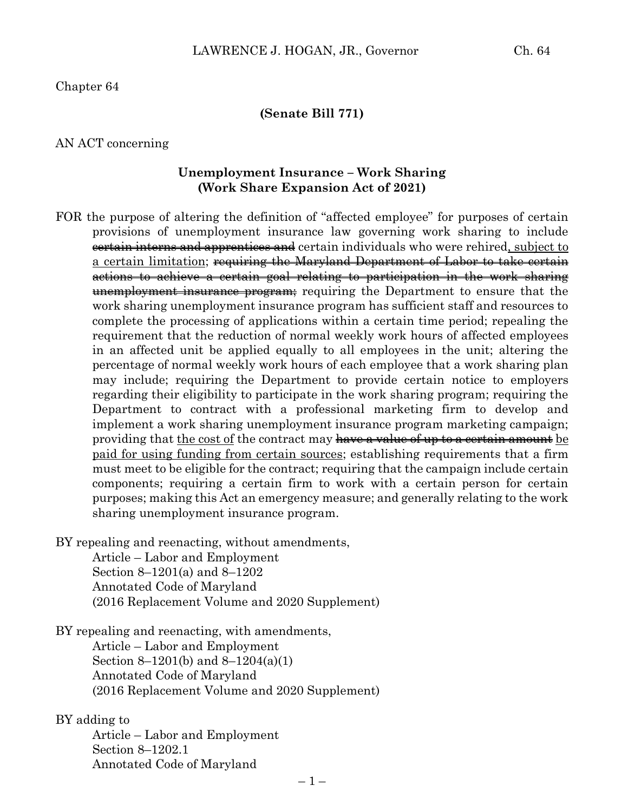Chapter 64

**(Senate Bill 771)**

#### AN ACT concerning

#### **Unemployment Insurance – Work Sharing (Work Share Expansion Act of 2021)**

- FOR the purpose of altering the definition of "affected employee" for purposes of certain provisions of unemployment insurance law governing work sharing to include certain interns and apprentices and certain individuals who were rehired, subject to a certain limitation; <del>requiring the Maryland Department of Labor to take certain</del> actions to achieve a certain goal relating to participation in the work sharing unemployment insurance program; requiring the Department to ensure that the work sharing unemployment insurance program has sufficient staff and resources to complete the processing of applications within a certain time period; repealing the requirement that the reduction of normal weekly work hours of affected employees in an affected unit be applied equally to all employees in the unit; altering the percentage of normal weekly work hours of each employee that a work sharing plan may include; requiring the Department to provide certain notice to employers regarding their eligibility to participate in the work sharing program; requiring the Department to contract with a professional marketing firm to develop and implement a work sharing unemployment insurance program marketing campaign; providing that the cost of the contract may have a value of up to a certain amount be paid for using funding from certain sources; establishing requirements that a firm must meet to be eligible for the contract; requiring that the campaign include certain components; requiring a certain firm to work with a certain person for certain purposes; making this Act an emergency measure; and generally relating to the work sharing unemployment insurance program.
- BY repealing and reenacting, without amendments,

Article – Labor and Employment Section 8–1201(a) and 8–1202 Annotated Code of Maryland (2016 Replacement Volume and 2020 Supplement)

BY repealing and reenacting, with amendments, Article – Labor and Employment

> Section 8–1201(b) and 8–1204(a)(1) Annotated Code of Maryland (2016 Replacement Volume and 2020 Supplement)

#### BY adding to

Article – Labor and Employment Section 8–1202.1 Annotated Code of Maryland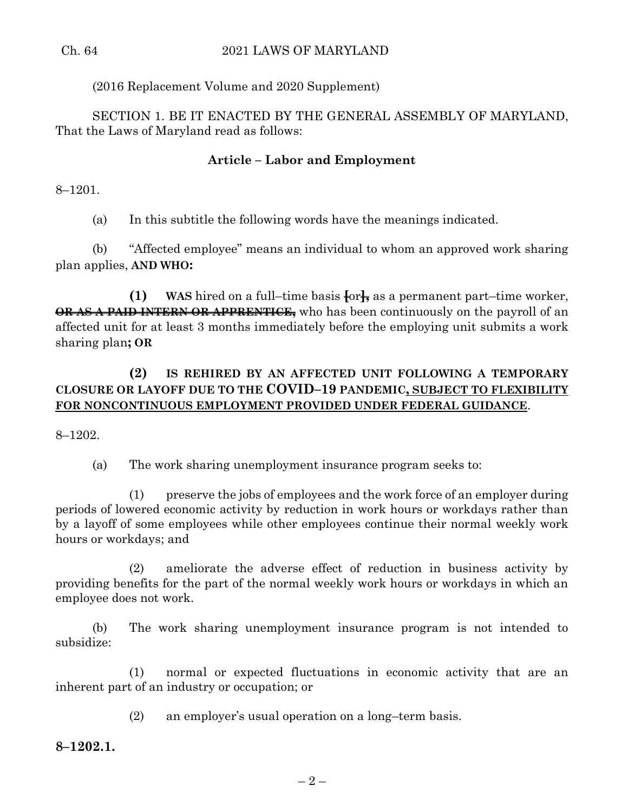# (2016 Replacement Volume and 2020 Supplement)

SECTION 1. BE IT ENACTED BY THE GENERAL ASSEMBLY OF MARYLAND, That the Laws of Maryland read as follows:

## **Article – Labor and Employment**

8–1201.

(a) In this subtitle the following words have the meanings indicated.

(b) "Affected employee" means an individual to whom an approved work sharing plan applies, **AND WHO:**

**(1) WAS** hired on a full–time basis **[**or**],** as a permanent part–time worker, **OR AS A PAID INTERN OR APPRENTICE,** who has been continuously on the payroll of an affected unit for at least 3 months immediately before the employing unit submits a work sharing plan**; OR**

# **(2) IS REHIRED BY AN AFFECTED UNIT FOLLOWING A TEMPORARY CLOSURE OR LAYOFF DUE TO THE COVID–19 PANDEMIC, SUBJECT TO FLEXIBILITY FOR NONCONTINUOUS EMPLOYMENT PROVIDED UNDER FEDERAL GUIDANCE**.

8–1202.

(a) The work sharing unemployment insurance program seeks to:

(1) preserve the jobs of employees and the work force of an employer during periods of lowered economic activity by reduction in work hours or workdays rather than by a layoff of some employees while other employees continue their normal weekly work hours or workdays; and

(2) ameliorate the adverse effect of reduction in business activity by providing benefits for the part of the normal weekly work hours or workdays in which an employee does not work.

(b) The work sharing unemployment insurance program is not intended to subsidize:

(1) normal or expected fluctuations in economic activity that are an inherent part of an industry or occupation; or

(2) an employer's usual operation on a long–term basis.

**8–1202.1.**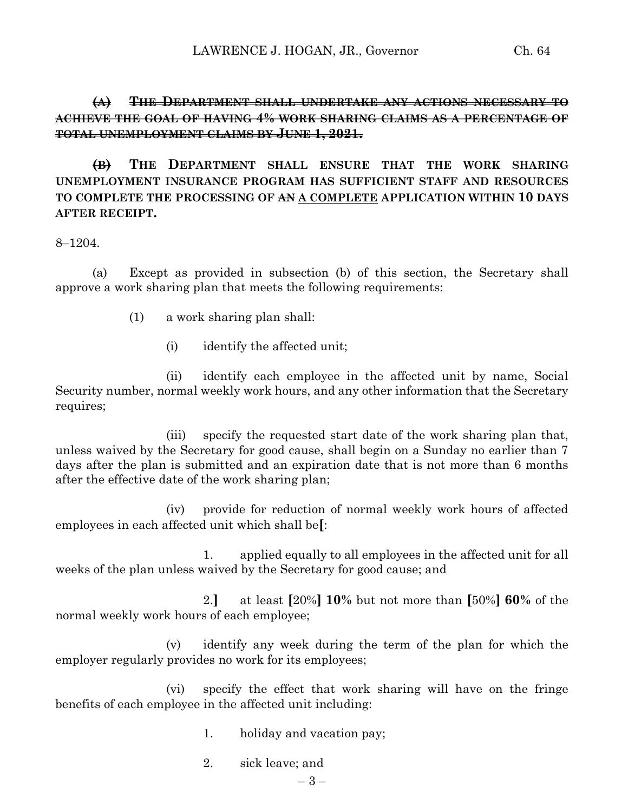### **(A) THE DEPARTMENT SHALL UNDERTAKE ANY ACTIONS NECESSARY TO ACHIEVE THE GOAL OF HAVING 4% WORK SHARING CLAIMS AS A PERCENTAGE OF TOTAL UNEMPLOYMENT CLAIMS BY JUNE 1, 2021.**

**(B) THE DEPARTMENT SHALL ENSURE THAT THE WORK SHARING UNEMPLOYMENT INSURANCE PROGRAM HAS SUFFICIENT STAFF AND RESOURCES TO COMPLETE THE PROCESSING OF AN A COMPLETE APPLICATION WITHIN 10 DAYS AFTER RECEIPT.**

8–1204.

(a) Except as provided in subsection (b) of this section, the Secretary shall approve a work sharing plan that meets the following requirements:

- (1) a work sharing plan shall:
	- (i) identify the affected unit;

(ii) identify each employee in the affected unit by name, Social Security number, normal weekly work hours, and any other information that the Secretary requires;

(iii) specify the requested start date of the work sharing plan that, unless waived by the Secretary for good cause, shall begin on a Sunday no earlier than 7 days after the plan is submitted and an expiration date that is not more than 6 months after the effective date of the work sharing plan;

(iv) provide for reduction of normal weekly work hours of affected employees in each affected unit which shall be**[**:

1. applied equally to all employees in the affected unit for all weeks of the plan unless waived by the Secretary for good cause; and

2.**]** at least **[**20%**] 10%** but not more than **[**50%**] 60%** of the normal weekly work hours of each employee;

(v) identify any week during the term of the plan for which the employer regularly provides no work for its employees;

(vi) specify the effect that work sharing will have on the fringe benefits of each employee in the affected unit including:

- 1. holiday and vacation pay;
- 2. sick leave; and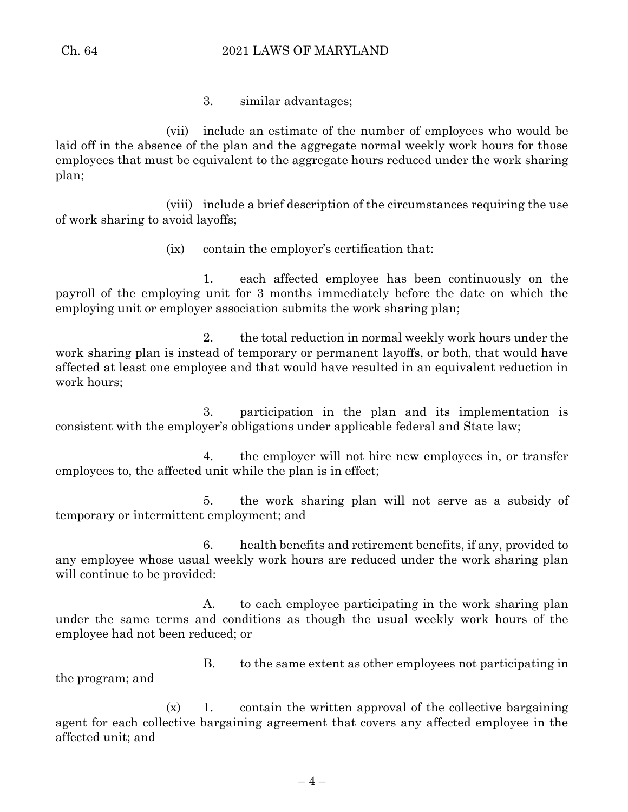3. similar advantages;

(vii) include an estimate of the number of employees who would be laid off in the absence of the plan and the aggregate normal weekly work hours for those employees that must be equivalent to the aggregate hours reduced under the work sharing plan;

(viii) include a brief description of the circumstances requiring the use of work sharing to avoid layoffs;

(ix) contain the employer's certification that:

1. each affected employee has been continuously on the payroll of the employing unit for 3 months immediately before the date on which the employing unit or employer association submits the work sharing plan;

2. the total reduction in normal weekly work hours under the work sharing plan is instead of temporary or permanent layoffs, or both, that would have affected at least one employee and that would have resulted in an equivalent reduction in work hours;

3. participation in the plan and its implementation is consistent with the employer's obligations under applicable federal and State law;

4. the employer will not hire new employees in, or transfer employees to, the affected unit while the plan is in effect;

5. the work sharing plan will not serve as a subsidy of temporary or intermittent employment; and

6. health benefits and retirement benefits, if any, provided to any employee whose usual weekly work hours are reduced under the work sharing plan will continue to be provided:

A. to each employee participating in the work sharing plan under the same terms and conditions as though the usual weekly work hours of the employee had not been reduced; or

B. to the same extent as other employees not participating in the program; and

 $(x)$  1. contain the written approval of the collective bargaining agent for each collective bargaining agreement that covers any affected employee in the affected unit; and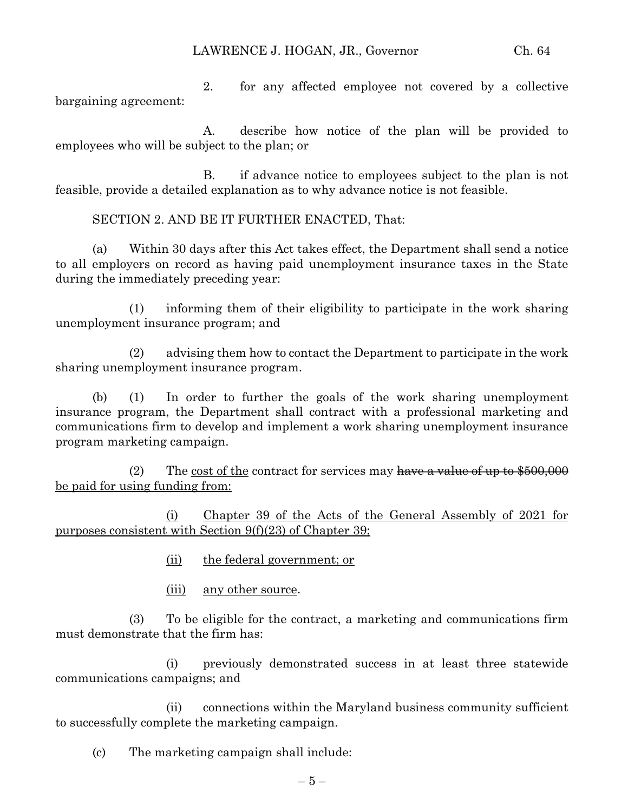2. for any affected employee not covered by a collective bargaining agreement:

A. describe how notice of the plan will be provided to employees who will be subject to the plan; or

B. if advance notice to employees subject to the plan is not feasible, provide a detailed explanation as to why advance notice is not feasible.

SECTION 2. AND BE IT FURTHER ENACTED, That:

(a) Within 30 days after this Act takes effect, the Department shall send a notice to all employers on record as having paid unemployment insurance taxes in the State during the immediately preceding year:

(1) informing them of their eligibility to participate in the work sharing unemployment insurance program; and

(2) advising them how to contact the Department to participate in the work sharing unemployment insurance program.

(b) (1) In order to further the goals of the work sharing unemployment insurance program, the Department shall contract with a professional marketing and communications firm to develop and implement a work sharing unemployment insurance program marketing campaign.

(2) The cost of the contract for services may have a value of up to  $$500,000$ be paid for using funding from:

(i) Chapter 39 of the Acts of the General Assembly of 2021 for purposes consistent with Section 9(f)(23) of Chapter 39;

- (ii) the federal government; or
- (iii) any other source.

(3) To be eligible for the contract, a marketing and communications firm must demonstrate that the firm has:

(i) previously demonstrated success in at least three statewide communications campaigns; and

(ii) connections within the Maryland business community sufficient to successfully complete the marketing campaign.

(c) The marketing campaign shall include: